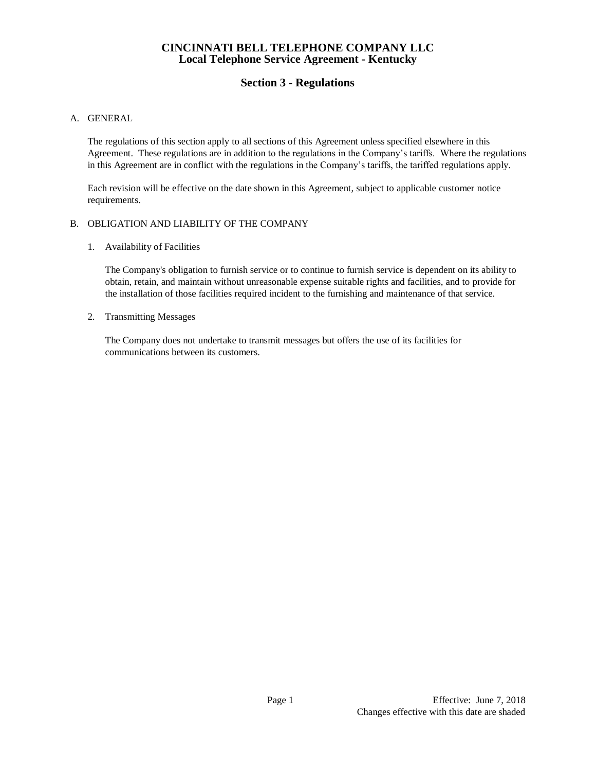# **Section 3 - Regulations**

## A. GENERAL

The regulations of this section apply to all sections of this Agreement unless specified elsewhere in this Agreement. These regulations are in addition to the regulations in the Company's tariffs. Where the regulations in this Agreement are in conflict with the regulations in the Company's tariffs, the tariffed regulations apply.

Each revision will be effective on the date shown in this Agreement, subject to applicable customer notice requirements.

### B. OBLIGATION AND LIABILITY OF THE COMPANY

1. Availability of Facilities

The Company's obligation to furnish service or to continue to furnish service is dependent on its ability to obtain, retain, and maintain without unreasonable expense suitable rights and facilities, and to provide for the installation of those facilities required incident to the furnishing and maintenance of that service.

2. Transmitting Messages

The Company does not undertake to transmit messages but offers the use of its facilities for communications between its customers.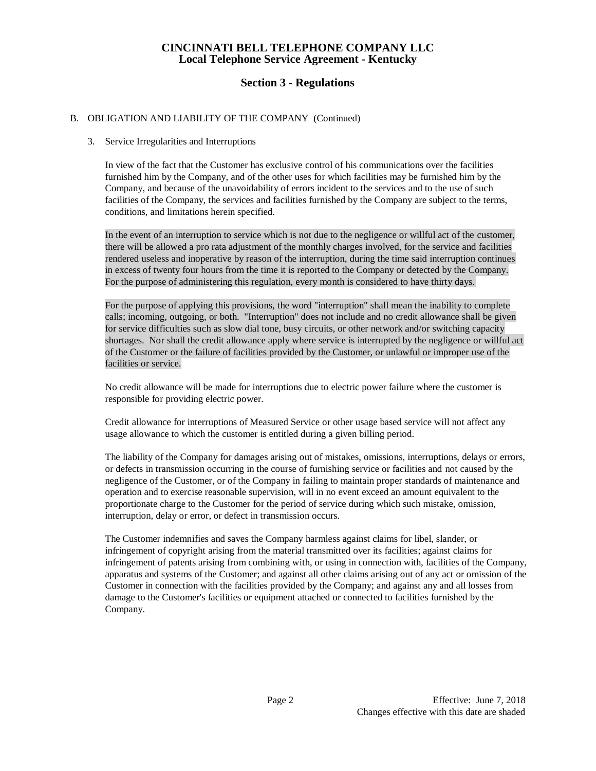# **Section 3 - Regulations**

## B. OBLIGATION AND LIABILITY OF THE COMPANY (Continued)

### 3. Service Irregularities and Interruptions

In view of the fact that the Customer has exclusive control of his communications over the facilities furnished him by the Company, and of the other uses for which facilities may be furnished him by the Company, and because of the unavoidability of errors incident to the services and to the use of such facilities of the Company, the services and facilities furnished by the Company are subject to the terms, conditions, and limitations herein specified.

In the event of an interruption to service which is not due to the negligence or willful act of the customer, there will be allowed a pro rata adjustment of the monthly charges involved, for the service and facilities rendered useless and inoperative by reason of the interruption, during the time said interruption continues in excess of twenty four hours from the time it is reported to the Company or detected by the Company. For the purpose of administering this regulation, every month is considered to have thirty days.

For the purpose of applying this provisions, the word "interruption" shall mean the inability to complete calls; incoming, outgoing, or both. "Interruption" does not include and no credit allowance shall be given for service difficulties such as slow dial tone, busy circuits, or other network and/or switching capacity shortages. Nor shall the credit allowance apply where service is interrupted by the negligence or willful act of the Customer or the failure of facilities provided by the Customer, or unlawful or improper use of the facilities or service.

No credit allowance will be made for interruptions due to electric power failure where the customer is responsible for providing electric power.

Credit allowance for interruptions of Measured Service or other usage based service will not affect any usage allowance to which the customer is entitled during a given billing period.

The liability of the Company for damages arising out of mistakes, omissions, interruptions, delays or errors, or defects in transmission occurring in the course of furnishing service or facilities and not caused by the negligence of the Customer, or of the Company in failing to maintain proper standards of maintenance and operation and to exercise reasonable supervision, will in no event exceed an amount equivalent to the proportionate charge to the Customer for the period of service during which such mistake, omission, interruption, delay or error, or defect in transmission occurs.

The Customer indemnifies and saves the Company harmless against claims for libel, slander, or infringement of copyright arising from the material transmitted over its facilities; against claims for infringement of patents arising from combining with, or using in connection with, facilities of the Company, apparatus and systems of the Customer; and against all other claims arising out of any act or omission of the Customer in connection with the facilities provided by the Company; and against any and all losses from damage to the Customer's facilities or equipment attached or connected to facilities furnished by the Company.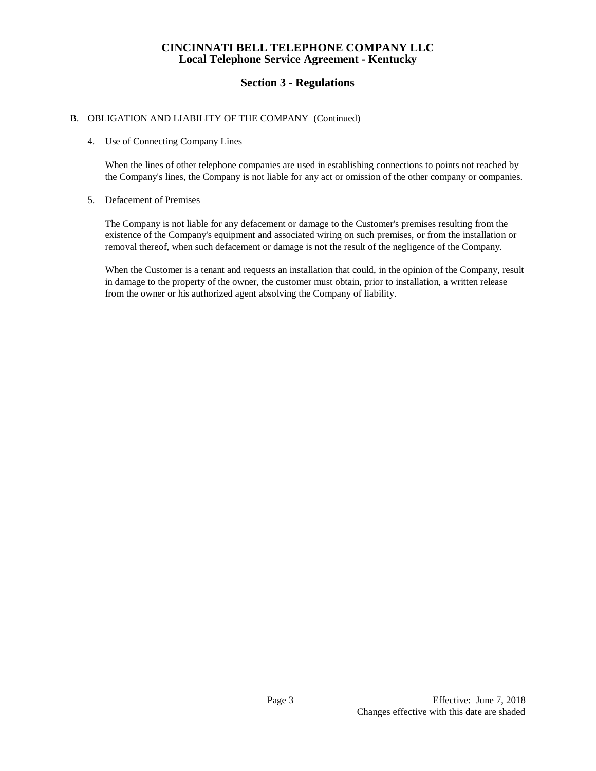# **Section 3 - Regulations**

### B. OBLIGATION AND LIABILITY OF THE COMPANY (Continued)

#### 4. Use of Connecting Company Lines

When the lines of other telephone companies are used in establishing connections to points not reached by the Company's lines, the Company is not liable for any act or omission of the other company or companies.

#### 5. Defacement of Premises

The Company is not liable for any defacement or damage to the Customer's premises resulting from the existence of the Company's equipment and associated wiring on such premises, or from the installation or removal thereof, when such defacement or damage is not the result of the negligence of the Company.

When the Customer is a tenant and requests an installation that could, in the opinion of the Company, result in damage to the property of the owner, the customer must obtain, prior to installation, a written release from the owner or his authorized agent absolving the Company of liability.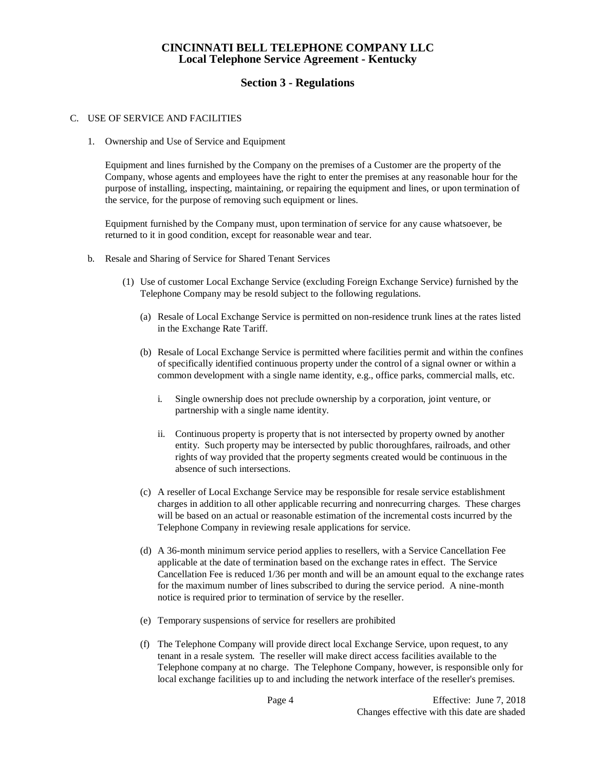# **Section 3 - Regulations**

### C. USE OF SERVICE AND FACILITIES

1. Ownership and Use of Service and Equipment

Equipment and lines furnished by the Company on the premises of a Customer are the property of the Company, whose agents and employees have the right to enter the premises at any reasonable hour for the purpose of installing, inspecting, maintaining, or repairing the equipment and lines, or upon termination of the service, for the purpose of removing such equipment or lines.

Equipment furnished by the Company must, upon termination of service for any cause whatsoever, be returned to it in good condition, except for reasonable wear and tear.

- b. Resale and Sharing of Service for Shared Tenant Services
	- (1) Use of customer Local Exchange Service (excluding Foreign Exchange Service) furnished by the Telephone Company may be resold subject to the following regulations.
		- (a) Resale of Local Exchange Service is permitted on non-residence trunk lines at the rates listed in the Exchange Rate Tariff.
		- (b) Resale of Local Exchange Service is permitted where facilities permit and within the confines of specifically identified continuous property under the control of a signal owner or within a common development with a single name identity, e.g., office parks, commercial malls, etc.
			- i. Single ownership does not preclude ownership by a corporation, joint venture, or partnership with a single name identity.
			- ii. Continuous property is property that is not intersected by property owned by another entity. Such property may be intersected by public thoroughfares, railroads, and other rights of way provided that the property segments created would be continuous in the absence of such intersections.
		- (c) A reseller of Local Exchange Service may be responsible for resale service establishment charges in addition to all other applicable recurring and nonrecurring charges. These charges will be based on an actual or reasonable estimation of the incremental costs incurred by the Telephone Company in reviewing resale applications for service.
		- (d) A 36-month minimum service period applies to resellers, with a Service Cancellation Fee applicable at the date of termination based on the exchange rates in effect. The Service Cancellation Fee is reduced 1/36 per month and will be an amount equal to the exchange rates for the maximum number of lines subscribed to during the service period. A nine-month notice is required prior to termination of service by the reseller.
		- (e) Temporary suspensions of service for resellers are prohibited
		- (f) The Telephone Company will provide direct local Exchange Service, upon request, to any tenant in a resale system. The reseller will make direct access facilities available to the Telephone company at no charge. The Telephone Company, however, is responsible only for local exchange facilities up to and including the network interface of the reseller's premises.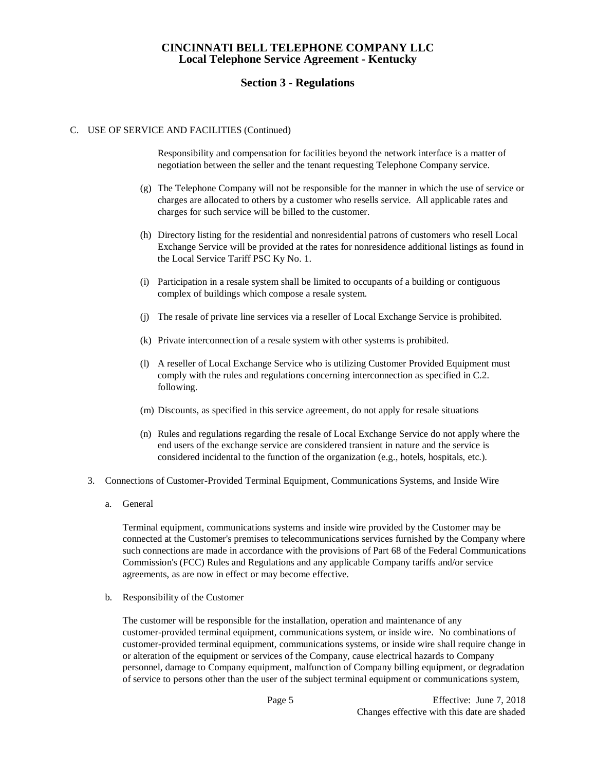## **Section 3 - Regulations**

#### C. USE OF SERVICE AND FACILITIES (Continued)

Responsibility and compensation for facilities beyond the network interface is a matter of negotiation between the seller and the tenant requesting Telephone Company service.

- (g) The Telephone Company will not be responsible for the manner in which the use of service or charges are allocated to others by a customer who resells service. All applicable rates and charges for such service will be billed to the customer.
- (h) Directory listing for the residential and nonresidential patrons of customers who resell Local Exchange Service will be provided at the rates for nonresidence additional listings as found in the Local Service Tariff PSC Ky No. 1.
- (i) Participation in a resale system shall be limited to occupants of a building or contiguous complex of buildings which compose a resale system.
- (j) The resale of private line services via a reseller of Local Exchange Service is prohibited.
- (k) Private interconnection of a resale system with other systems is prohibited.
- (l) A reseller of Local Exchange Service who is utilizing Customer Provided Equipment must comply with the rules and regulations concerning interconnection as specified in C.2. following.
- (m) Discounts, as specified in this service agreement, do not apply for resale situations
- (n) Rules and regulations regarding the resale of Local Exchange Service do not apply where the end users of the exchange service are considered transient in nature and the service is considered incidental to the function of the organization (e.g., hotels, hospitals, etc.).
- 3. Connections of Customer-Provided Terminal Equipment, Communications Systems, and Inside Wire
	- a. General

Terminal equipment, communications systems and inside wire provided by the Customer may be connected at the Customer's premises to telecommunications services furnished by the Company where such connections are made in accordance with the provisions of Part 68 of the Federal Communications Commission's (FCC) Rules and Regulations and any applicable Company tariffs and/or service agreements, as are now in effect or may become effective.

b. Responsibility of the Customer

The customer will be responsible for the installation, operation and maintenance of any customer-provided terminal equipment, communications system, or inside wire. No combinations of customer-provided terminal equipment, communications systems, or inside wire shall require change in or alteration of the equipment or services of the Company, cause electrical hazards to Company personnel, damage to Company equipment, malfunction of Company billing equipment, or degradation of service to persons other than the user of the subject terminal equipment or communications system,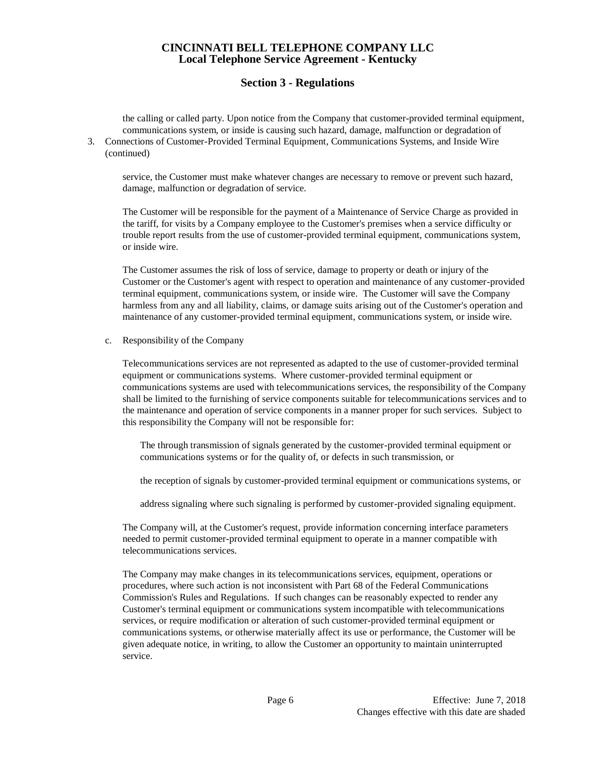# **Section 3 - Regulations**

the calling or called party. Upon notice from the Company that customer-provided terminal equipment, communications system, or inside is causing such hazard, damage, malfunction or degradation of

3. Connections of Customer-Provided Terminal Equipment, Communications Systems, and Inside Wire (continued)

service, the Customer must make whatever changes are necessary to remove or prevent such hazard, damage, malfunction or degradation of service.

The Customer will be responsible for the payment of a Maintenance of Service Charge as provided in the tariff, for visits by a Company employee to the Customer's premises when a service difficulty or trouble report results from the use of customer-provided terminal equipment, communications system, or inside wire.

The Customer assumes the risk of loss of service, damage to property or death or injury of the Customer or the Customer's agent with respect to operation and maintenance of any customer-provided terminal equipment, communications system, or inside wire. The Customer will save the Company harmless from any and all liability, claims, or damage suits arising out of the Customer's operation and maintenance of any customer-provided terminal equipment, communications system, or inside wire.

c. Responsibility of the Company

Telecommunications services are not represented as adapted to the use of customer-provided terminal equipment or communications systems. Where customer-provided terminal equipment or communications systems are used with telecommunications services, the responsibility of the Company shall be limited to the furnishing of service components suitable for telecommunications services and to the maintenance and operation of service components in a manner proper for such services. Subject to this responsibility the Company will not be responsible for:

The through transmission of signals generated by the customer-provided terminal equipment or communications systems or for the quality of, or defects in such transmission, or

the reception of signals by customer-provided terminal equipment or communications systems, or

address signaling where such signaling is performed by customer-provided signaling equipment.

The Company will, at the Customer's request, provide information concerning interface parameters needed to permit customer-provided terminal equipment to operate in a manner compatible with telecommunications services.

The Company may make changes in its telecommunications services, equipment, operations or procedures, where such action is not inconsistent with Part 68 of the Federal Communications Commission's Rules and Regulations. If such changes can be reasonably expected to render any Customer's terminal equipment or communications system incompatible with telecommunications services, or require modification or alteration of such customer-provided terminal equipment or communications systems, or otherwise materially affect its use or performance, the Customer will be given adequate notice, in writing, to allow the Customer an opportunity to maintain uninterrupted service.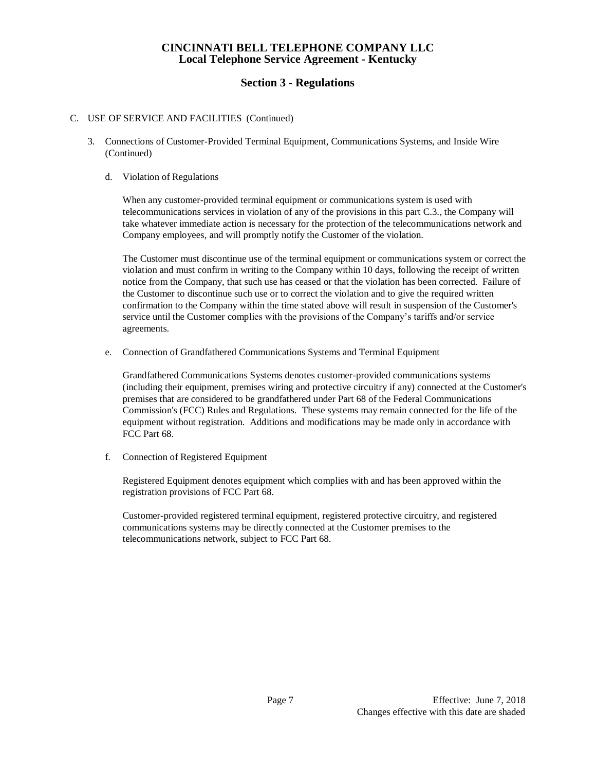# **Section 3 - Regulations**

## C. USE OF SERVICE AND FACILITIES (Continued)

3. Connections of Customer-Provided Terminal Equipment, Communications Systems, and Inside Wire (Continued)

### d. Violation of Regulations

When any customer-provided terminal equipment or communications system is used with telecommunications services in violation of any of the provisions in this part C.3., the Company will take whatever immediate action is necessary for the protection of the telecommunications network and Company employees, and will promptly notify the Customer of the violation.

The Customer must discontinue use of the terminal equipment or communications system or correct the violation and must confirm in writing to the Company within 10 days, following the receipt of written notice from the Company, that such use has ceased or that the violation has been corrected. Failure of the Customer to discontinue such use or to correct the violation and to give the required written confirmation to the Company within the time stated above will result in suspension of the Customer's service until the Customer complies with the provisions of the Company's tariffs and/or service agreements.

e. Connection of Grandfathered Communications Systems and Terminal Equipment

Grandfathered Communications Systems denotes customer-provided communications systems (including their equipment, premises wiring and protective circuitry if any) connected at the Customer's premises that are considered to be grandfathered under Part 68 of the Federal Communications Commission's (FCC) Rules and Regulations. These systems may remain connected for the life of the equipment without registration. Additions and modifications may be made only in accordance with FCC Part 68.

f. Connection of Registered Equipment

Registered Equipment denotes equipment which complies with and has been approved within the registration provisions of FCC Part 68.

Customer-provided registered terminal equipment, registered protective circuitry, and registered communications systems may be directly connected at the Customer premises to the telecommunications network, subject to FCC Part 68.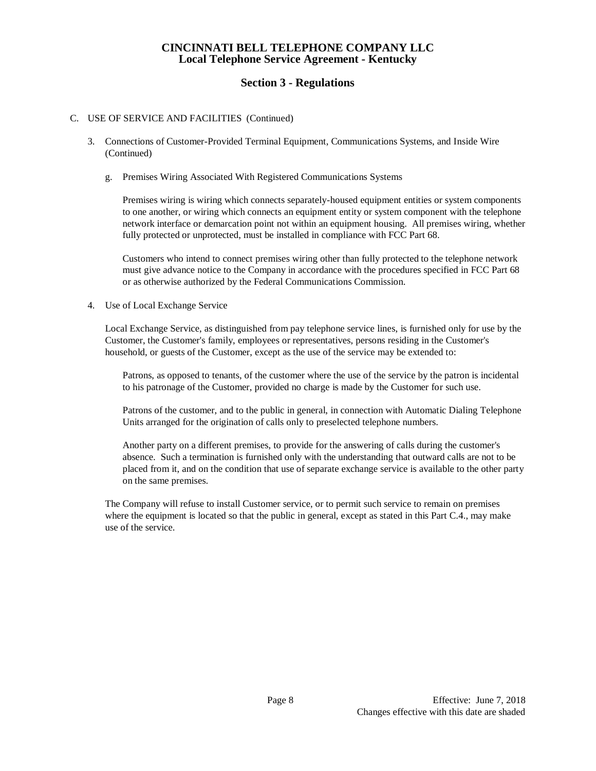# **Section 3 - Regulations**

## C. USE OF SERVICE AND FACILITIES (Continued)

- 3. Connections of Customer-Provided Terminal Equipment, Communications Systems, and Inside Wire (Continued)
	- g. Premises Wiring Associated With Registered Communications Systems

Premises wiring is wiring which connects separately-housed equipment entities or system components to one another, or wiring which connects an equipment entity or system component with the telephone network interface or demarcation point not within an equipment housing. All premises wiring, whether fully protected or unprotected, must be installed in compliance with FCC Part 68.

Customers who intend to connect premises wiring other than fully protected to the telephone network must give advance notice to the Company in accordance with the procedures specified in FCC Part 68 or as otherwise authorized by the Federal Communications Commission.

4. Use of Local Exchange Service

Local Exchange Service, as distinguished from pay telephone service lines, is furnished only for use by the Customer, the Customer's family, employees or representatives, persons residing in the Customer's household, or guests of the Customer, except as the use of the service may be extended to:

Patrons, as opposed to tenants, of the customer where the use of the service by the patron is incidental to his patronage of the Customer, provided no charge is made by the Customer for such use.

Patrons of the customer, and to the public in general, in connection with Automatic Dialing Telephone Units arranged for the origination of calls only to preselected telephone numbers.

Another party on a different premises, to provide for the answering of calls during the customer's absence. Such a termination is furnished only with the understanding that outward calls are not to be placed from it, and on the condition that use of separate exchange service is available to the other party on the same premises.

The Company will refuse to install Customer service, or to permit such service to remain on premises where the equipment is located so that the public in general, except as stated in this Part C.4., may make use of the service.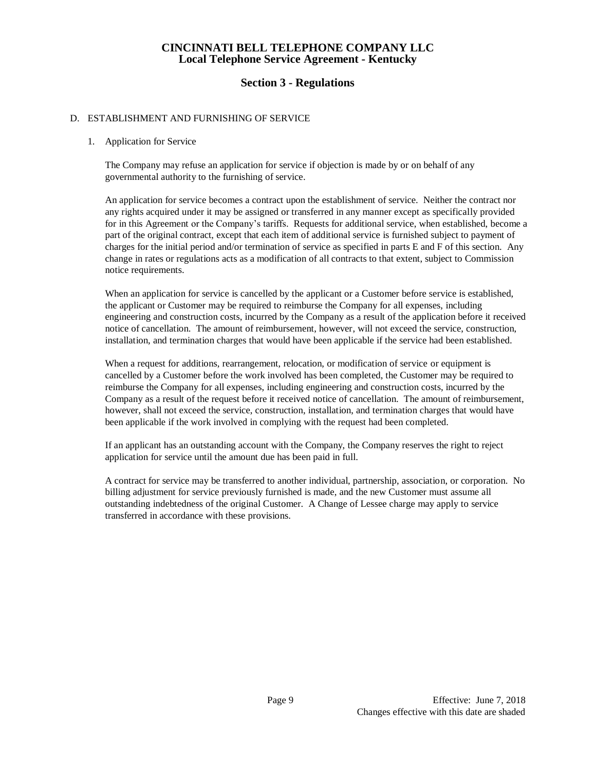## **Section 3 - Regulations**

### D. ESTABLISHMENT AND FURNISHING OF SERVICE

1. Application for Service

The Company may refuse an application for service if objection is made by or on behalf of any governmental authority to the furnishing of service.

An application for service becomes a contract upon the establishment of service. Neither the contract nor any rights acquired under it may be assigned or transferred in any manner except as specifically provided for in this Agreement or the Company's tariffs. Requests for additional service, when established, become a part of the original contract, except that each item of additional service is furnished subject to payment of charges for the initial period and/or termination of service as specified in parts E and F of this section. Any change in rates or regulations acts as a modification of all contracts to that extent, subject to Commission notice requirements.

When an application for service is cancelled by the applicant or a Customer before service is established, the applicant or Customer may be required to reimburse the Company for all expenses, including engineering and construction costs, incurred by the Company as a result of the application before it received notice of cancellation. The amount of reimbursement, however, will not exceed the service, construction, installation, and termination charges that would have been applicable if the service had been established.

When a request for additions, rearrangement, relocation, or modification of service or equipment is cancelled by a Customer before the work involved has been completed, the Customer may be required to reimburse the Company for all expenses, including engineering and construction costs, incurred by the Company as a result of the request before it received notice of cancellation. The amount of reimbursement, however, shall not exceed the service, construction, installation, and termination charges that would have been applicable if the work involved in complying with the request had been completed.

If an applicant has an outstanding account with the Company, the Company reserves the right to reject application for service until the amount due has been paid in full.

A contract for service may be transferred to another individual, partnership, association, or corporation. No billing adjustment for service previously furnished is made, and the new Customer must assume all outstanding indebtedness of the original Customer. A Change of Lessee charge may apply to service transferred in accordance with these provisions.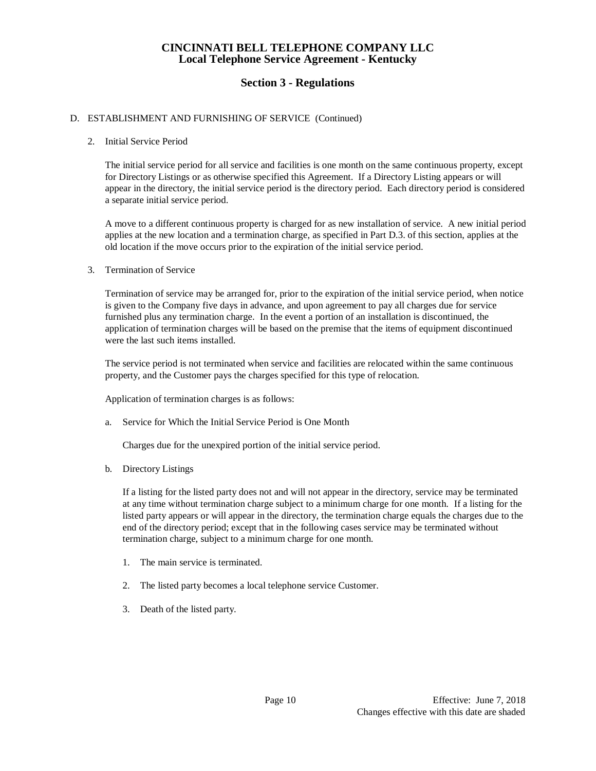# **Section 3 - Regulations**

### D. ESTABLISHMENT AND FURNISHING OF SERVICE (Continued)

#### 2. Initial Service Period

The initial service period for all service and facilities is one month on the same continuous property, except for Directory Listings or as otherwise specified this Agreement. If a Directory Listing appears or will appear in the directory, the initial service period is the directory period. Each directory period is considered a separate initial service period.

A move to a different continuous property is charged for as new installation of service. A new initial period applies at the new location and a termination charge, as specified in Part D.3. of this section, applies at the old location if the move occurs prior to the expiration of the initial service period.

#### 3. Termination of Service

Termination of service may be arranged for, prior to the expiration of the initial service period, when notice is given to the Company five days in advance, and upon agreement to pay all charges due for service furnished plus any termination charge. In the event a portion of an installation is discontinued, the application of termination charges will be based on the premise that the items of equipment discontinued were the last such items installed.

The service period is not terminated when service and facilities are relocated within the same continuous property, and the Customer pays the charges specified for this type of relocation.

Application of termination charges is as follows:

a. Service for Which the Initial Service Period is One Month

Charges due for the unexpired portion of the initial service period.

b. Directory Listings

If a listing for the listed party does not and will not appear in the directory, service may be terminated at any time without termination charge subject to a minimum charge for one month. If a listing for the listed party appears or will appear in the directory, the termination charge equals the charges due to the end of the directory period; except that in the following cases service may be terminated without termination charge, subject to a minimum charge for one month.

- 1. The main service is terminated.
- 2. The listed party becomes a local telephone service Customer.
- 3. Death of the listed party.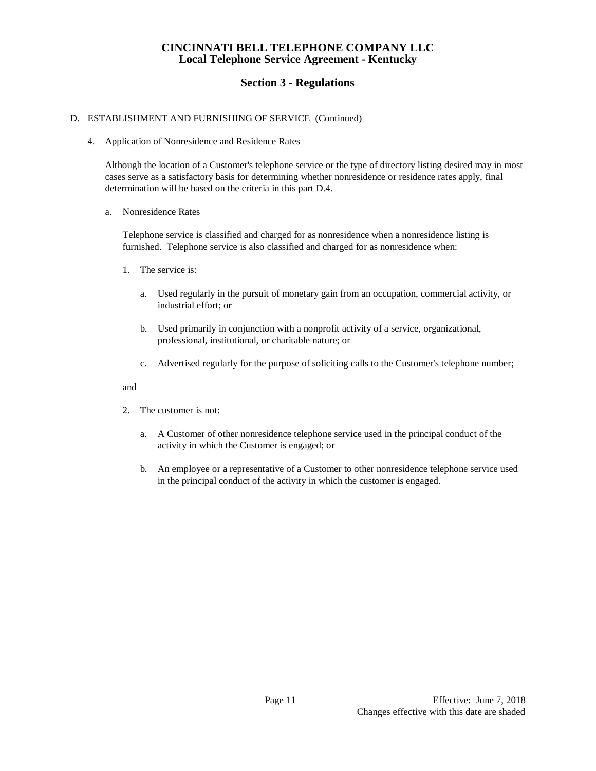# **Section 3 - Regulations**

## D. ESTABLISHMENT AND FURNISHING OF SERVICE (Continued)

4. Application of Nonresidence and Residence Rates

Although the location of a Customer's telephone service or the type of directory listing desired may in most cases serve as a satisfactory basis for determining whether nonresidence or residence rates apply, final determination will be based on the criteria in this part D.4.

a. Nonresidence Rates

Telephone service is classified and charged for as nonresidence when a nonresidence listing is furnished. Telephone service is also classified and charged for as nonresidence when:

- 1. The service is:
	- a. Used regularly in the pursuit of monetary gain from an occupation, commercial activity, or industrial effort; or
	- b. Used primarily in conjunction with a nonprofit activity of a service, organizational, professional, institutional, or charitable nature; or
	- c. Advertised regularly for the purpose of soliciting calls to the Customer's telephone number;

#### and

- 2. The customer is not:
	- a. A Customer of other nonresidence telephone service used in the principal conduct of the activity in which the Customer is engaged; or
	- b. An employee or a representative of a Customer to other nonresidence telephone service used in the principal conduct of the activity in which the customer is engaged.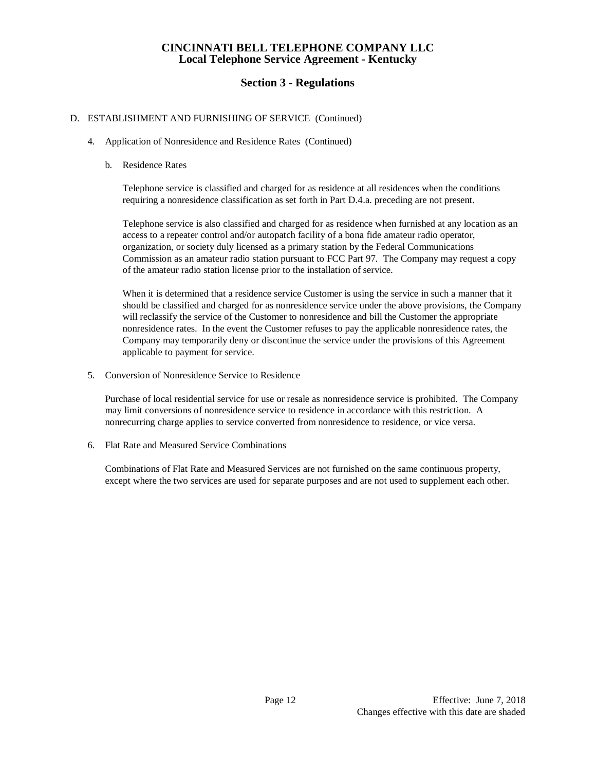# **Section 3 - Regulations**

## D. ESTABLISHMENT AND FURNISHING OF SERVICE (Continued)

- 4. Application of Nonresidence and Residence Rates (Continued)
	- b. Residence Rates

Telephone service is classified and charged for as residence at all residences when the conditions requiring a nonresidence classification as set forth in Part D.4.a. preceding are not present.

Telephone service is also classified and charged for as residence when furnished at any location as an access to a repeater control and/or autopatch facility of a bona fide amateur radio operator, organization, or society duly licensed as a primary station by the Federal Communications Commission as an amateur radio station pursuant to FCC Part 97. The Company may request a copy of the amateur radio station license prior to the installation of service.

When it is determined that a residence service Customer is using the service in such a manner that it should be classified and charged for as nonresidence service under the above provisions, the Company will reclassify the service of the Customer to nonresidence and bill the Customer the appropriate nonresidence rates. In the event the Customer refuses to pay the applicable nonresidence rates, the Company may temporarily deny or discontinue the service under the provisions of this Agreement applicable to payment for service.

5. Conversion of Nonresidence Service to Residence

Purchase of local residential service for use or resale as nonresidence service is prohibited. The Company may limit conversions of nonresidence service to residence in accordance with this restriction. A nonrecurring charge applies to service converted from nonresidence to residence, or vice versa.

6. Flat Rate and Measured Service Combinations

Combinations of Flat Rate and Measured Services are not furnished on the same continuous property, except where the two services are used for separate purposes and are not used to supplement each other.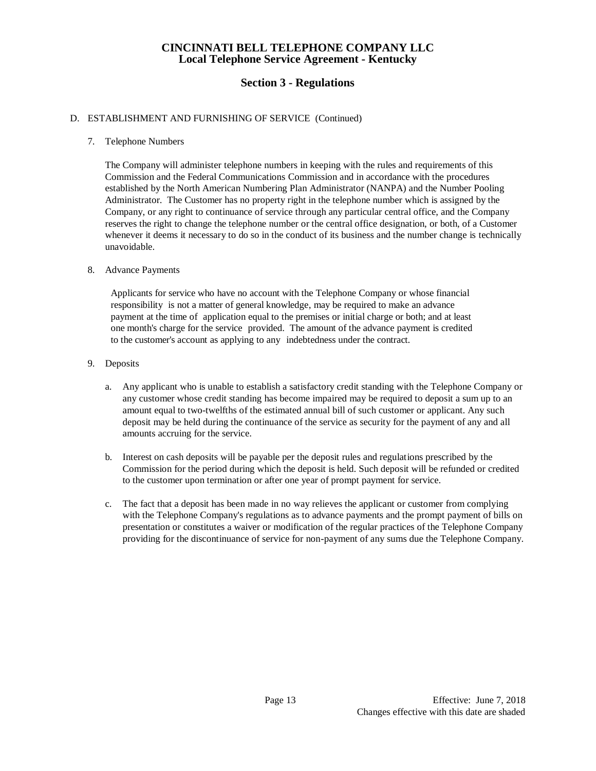# **Section 3 - Regulations**

## D. ESTABLISHMENT AND FURNISHING OF SERVICE (Continued)

### 7. Telephone Numbers

The Company will administer telephone numbers in keeping with the rules and requirements of this Commission and the Federal Communications Commission and in accordance with the procedures established by the North American Numbering Plan Administrator (NANPA) and the Number Pooling Administrator. The Customer has no property right in the telephone number which is assigned by the Company, or any right to continuance of service through any particular central office, and the Company reserves the right to change the telephone number or the central office designation, or both, of a Customer whenever it deems it necessary to do so in the conduct of its business and the number change is technically unavoidable.

#### 8. Advance Payments

Applicants for service who have no account with the Telephone Company or whose financial responsibility is not a matter of general knowledge, may be required to make an advance payment at the time of application equal to the premises or initial charge or both; and at least one month's charge for the service provided. The amount of the advance payment is credited to the customer's account as applying to any indebtedness under the contract.

- 9. Deposits
	- a. Any applicant who is unable to establish a satisfactory credit standing with the Telephone Company or any customer whose credit standing has become impaired may be required to deposit a sum up to an amount equal to two-twelfths of the estimated annual bill of such customer or applicant. Any such deposit may be held during the continuance of the service as security for the payment of any and all amounts accruing for the service.
	- b. Interest on cash deposits will be payable per the deposit rules and regulations prescribed by the Commission for the period during which the deposit is held. Such deposit will be refunded or credited to the customer upon termination or after one year of prompt payment for service.
	- c. The fact that a deposit has been made in no way relieves the applicant or customer from complying with the Telephone Company's regulations as to advance payments and the prompt payment of bills on presentation or constitutes a waiver or modification of the regular practices of the Telephone Company providing for the discontinuance of service for non-payment of any sums due the Telephone Company.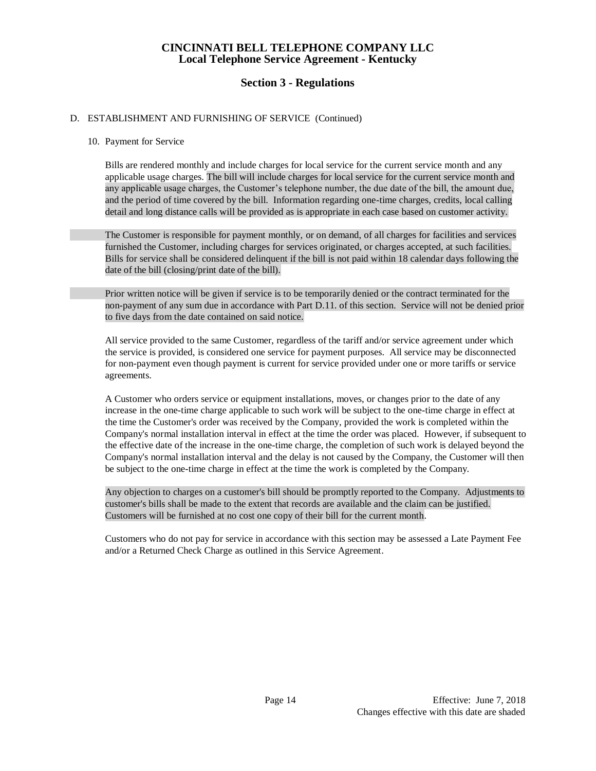# **Section 3 - Regulations**

## D. ESTABLISHMENT AND FURNISHING OF SERVICE (Continued)

### 10. Payment for Service

Bills are rendered monthly and include charges for local service for the current service month and any applicable usage charges. The bill will include charges for local service for the current service month and any applicable usage charges, the Customer's telephone number, the due date of the bill, the amount due, and the period of time covered by the bill. Information regarding one-time charges, credits, local calling detail and long distance calls will be provided as is appropriate in each case based on customer activity.

The Customer is responsible for payment monthly, or on demand, of all charges for facilities and services furnished the Customer, including charges for services originated, or charges accepted, at such facilities. Bills for service shall be considered delinquent if the bill is not paid within 18 calendar days following the date of the bill (closing/print date of the bill).

Prior written notice will be given if service is to be temporarily denied or the contract terminated for the non-payment of any sum due in accordance with Part D.11. of this section. Service will not be denied prior to five days from the date contained on said notice.

All service provided to the same Customer, regardless of the tariff and/or service agreement under which the service is provided, is considered one service for payment purposes. All service may be disconnected for non-payment even though payment is current for service provided under one or more tariffs or service agreements.

A Customer who orders service or equipment installations, moves, or changes prior to the date of any increase in the one-time charge applicable to such work will be subject to the one-time charge in effect at the time the Customer's order was received by the Company, provided the work is completed within the Company's normal installation interval in effect at the time the order was placed. However, if subsequent to the effective date of the increase in the one-time charge, the completion of such work is delayed beyond the Company's normal installation interval and the delay is not caused by the Company, the Customer will then be subject to the one-time charge in effect at the time the work is completed by the Company.

Any objection to charges on a customer's bill should be promptly reported to the Company. Adjustments to customer's bills shall be made to the extent that records are available and the claim can be justified. Customers will be furnished at no cost one copy of their bill for the current month.

Customers who do not pay for service in accordance with this section may be assessed a Late Payment Fee and/or a Returned Check Charge as outlined in this Service Agreement.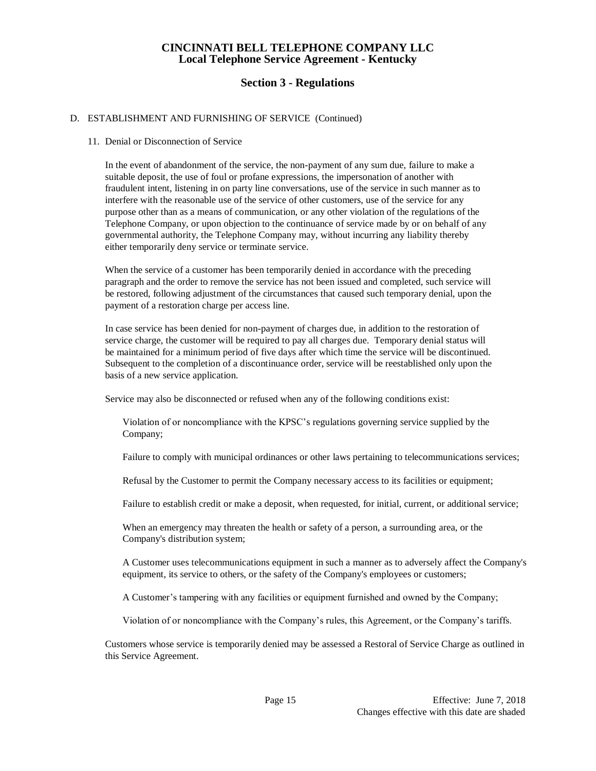# **Section 3 - Regulations**

## D. ESTABLISHMENT AND FURNISHING OF SERVICE (Continued)

### 11. Denial or Disconnection of Service

In the event of abandonment of the service, the non-payment of any sum due, failure to make a suitable deposit, the use of foul or profane expressions, the impersonation of another with fraudulent intent, listening in on party line conversations, use of the service in such manner as to interfere with the reasonable use of the service of other customers, use of the service for any purpose other than as a means of communication, or any other violation of the regulations of the Telephone Company, or upon objection to the continuance of service made by or on behalf of any governmental authority, the Telephone Company may, without incurring any liability thereby either temporarily deny service or terminate service.

When the service of a customer has been temporarily denied in accordance with the preceding paragraph and the order to remove the service has not been issued and completed, such service will be restored, following adjustment of the circumstances that caused such temporary denial, upon the payment of a restoration charge per access line.

In case service has been denied for non-payment of charges due, in addition to the restoration of service charge, the customer will be required to pay all charges due. Temporary denial status will be maintained for a minimum period of five days after which time the service will be discontinued. Subsequent to the completion of a discontinuance order, service will be reestablished only upon the basis of a new service application.

Service may also be disconnected or refused when any of the following conditions exist:

Violation of or noncompliance with the KPSC's regulations governing service supplied by the Company;

Failure to comply with municipal ordinances or other laws pertaining to telecommunications services;

Refusal by the Customer to permit the Company necessary access to its facilities or equipment;

Failure to establish credit or make a deposit, when requested, for initial, current, or additional service;

When an emergency may threaten the health or safety of a person, a surrounding area, or the Company's distribution system;

A Customer uses telecommunications equipment in such a manner as to adversely affect the Company's equipment, its service to others, or the safety of the Company's employees or customers;

A Customer's tampering with any facilities or equipment furnished and owned by the Company;

Violation of or noncompliance with the Company's rules, this Agreement, or the Company's tariffs.

Customers whose service is temporarily denied may be assessed a Restoral of Service Charge as outlined in this Service Agreement.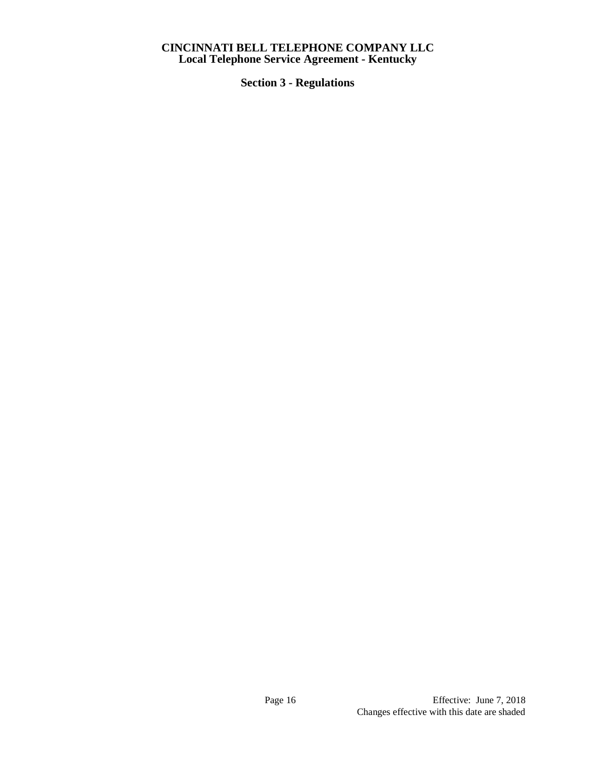**Section 3 - Regulations**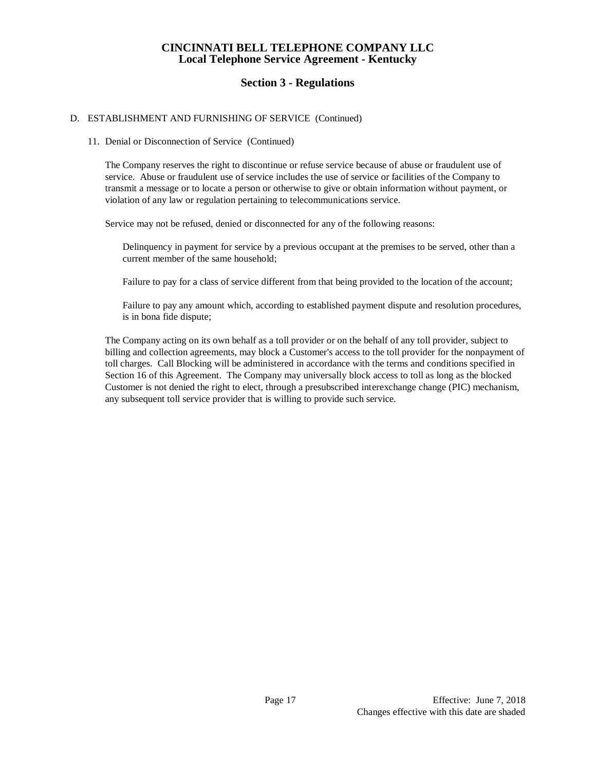# **Section 3 - Regulations**

## D. ESTABLISHMENT AND FURNISHING OF SERVICE (Continued)

#### 11. Denial or Disconnection of Service (Continued)

The Company reserves the right to discontinue or refuse service because of abuse or fraudulent use of service. Abuse or fraudulent use of service includes the use of service or facilities of the Company to transmit a message or to locate a person or otherwise to give or obtain information without payment, or violation of any law or regulation pertaining to telecommunications service.

Service may not be refused, denied or disconnected for any of the following reasons:

Delinquency in payment for service by a previous occupant at the premises to be served, other than a current member of the same household;

Failure to pay for a class of service different from that being provided to the location of the account;

Failure to pay any amount which, according to established payment dispute and resolution procedures, is in bona fide dispute;

The Company acting on its own behalf as a toll provider or on the behalf of any toll provider, subject to billing and collection agreements, may block a Customer's access to the toll provider for the nonpayment of toll charges. Call Blocking will be administered in accordance with the terms and conditions specified in Section 16 of this Agreement. The Company may universally block access to toll as long as the blocked Customer is not denied the right to elect, through a presubscribed interexchange change (PIC) mechanism, any subsequent toll service provider that is willing to provide such service.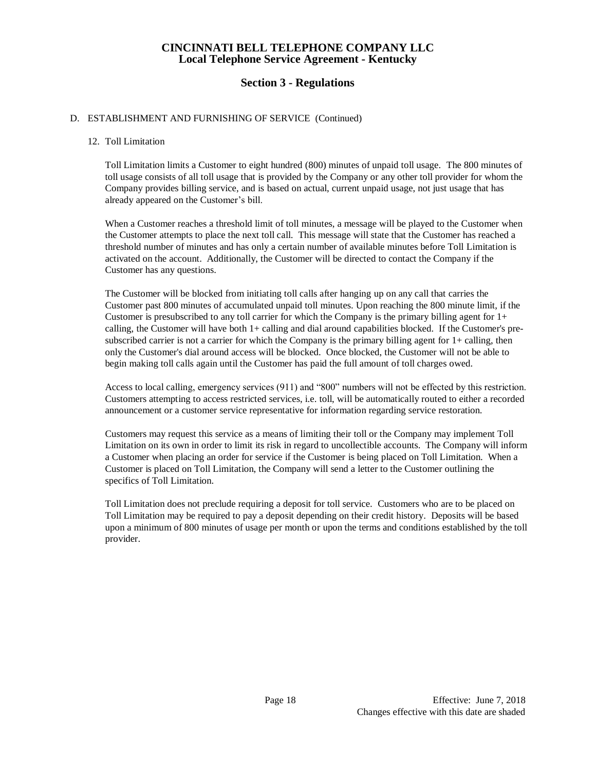# **Section 3 - Regulations**

### D. ESTABLISHMENT AND FURNISHING OF SERVICE (Continued)

#### 12. Toll Limitation

Toll Limitation limits a Customer to eight hundred (800) minutes of unpaid toll usage. The 800 minutes of toll usage consists of all toll usage that is provided by the Company or any other toll provider for whom the Company provides billing service, and is based on actual, current unpaid usage, not just usage that has already appeared on the Customer's bill.

When a Customer reaches a threshold limit of toll minutes, a message will be played to the Customer when the Customer attempts to place the next toll call. This message will state that the Customer has reached a threshold number of minutes and has only a certain number of available minutes before Toll Limitation is activated on the account. Additionally, the Customer will be directed to contact the Company if the Customer has any questions.

The Customer will be blocked from initiating toll calls after hanging up on any call that carries the Customer past 800 minutes of accumulated unpaid toll minutes. Upon reaching the 800 minute limit, if the Customer is presubscribed to any toll carrier for which the Company is the primary billing agent for  $1+$ calling, the Customer will have both 1+ calling and dial around capabilities blocked. If the Customer's presubscribed carrier is not a carrier for which the Company is the primary billing agent for  $1+$  calling, then only the Customer's dial around access will be blocked. Once blocked, the Customer will not be able to begin making toll calls again until the Customer has paid the full amount of toll charges owed.

Access to local calling, emergency services (911) and "800" numbers will not be effected by this restriction. Customers attempting to access restricted services, i.e. toll, will be automatically routed to either a recorded announcement or a customer service representative for information regarding service restoration.

Customers may request this service as a means of limiting their toll or the Company may implement Toll Limitation on its own in order to limit its risk in regard to uncollectible accounts. The Company will inform a Customer when placing an order for service if the Customer is being placed on Toll Limitation. When a Customer is placed on Toll Limitation, the Company will send a letter to the Customer outlining the specifics of Toll Limitation.

Toll Limitation does not preclude requiring a deposit for toll service. Customers who are to be placed on Toll Limitation may be required to pay a deposit depending on their credit history. Deposits will be based upon a minimum of 800 minutes of usage per month or upon the terms and conditions established by the toll provider.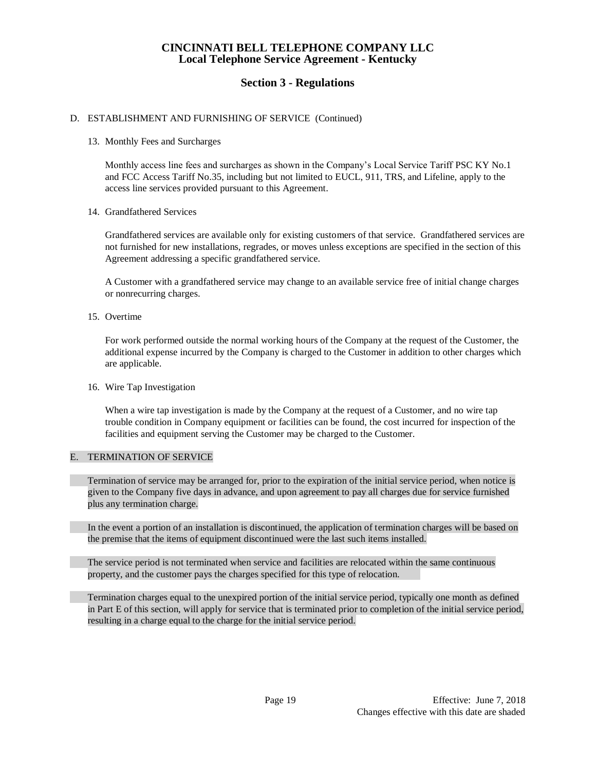# **Section 3 - Regulations**

### D. ESTABLISHMENT AND FURNISHING OF SERVICE (Continued)

### 13. Monthly Fees and Surcharges

Monthly access line fees and surcharges as shown in the Company's Local Service Tariff PSC KY No.1 and FCC Access Tariff No.35, including but not limited to EUCL, 911, TRS, and Lifeline, apply to the access line services provided pursuant to this Agreement.

### 14. Grandfathered Services

Grandfathered services are available only for existing customers of that service. Grandfathered services are not furnished for new installations, regrades, or moves unless exceptions are specified in the section of this Agreement addressing a specific grandfathered service.

A Customer with a grandfathered service may change to an available service free of initial change charges or nonrecurring charges.

15. Overtime

For work performed outside the normal working hours of the Company at the request of the Customer, the additional expense incurred by the Company is charged to the Customer in addition to other charges which are applicable.

### 16. Wire Tap Investigation

When a wire tap investigation is made by the Company at the request of a Customer, and no wire tap trouble condition in Company equipment or facilities can be found, the cost incurred for inspection of the facilities and equipment serving the Customer may be charged to the Customer.

### E. TERMINATION OF SERVICE

Termination of service may be arranged for, prior to the expiration of the initial service period, when notice is given to the Company five days in advance, and upon agreement to pay all charges due for service furnished plus any termination charge.

In the event a portion of an installation is discontinued, the application of termination charges will be based on the premise that the items of equipment discontinued were the last such items installed.

The service period is not terminated when service and facilities are relocated within the same continuous property, and the customer pays the charges specified for this type of relocation.

Termination charges equal to the unexpired portion of the initial service period, typically one month as defined in Part E of this section, will apply for service that is terminated prior to completion of the initial service period, resulting in a charge equal to the charge for the initial service period.